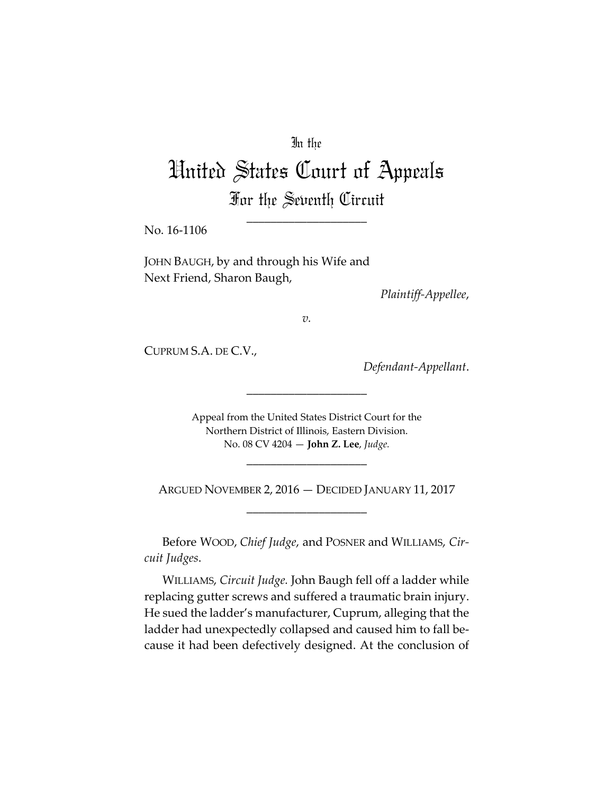# In the

# United States Court of Appeals For the Seventh Circuit

\_\_\_\_\_\_\_\_\_\_\_\_\_\_\_\_\_\_\_\_

No. 16‐1106

JOHN BAUGH, by and through his Wife and Next Friend, Sharon Baugh,

*Plaintiff‐Appellee*,

*v.*

CUPRUM S.A. DE C.V.,

*Defendant‐Appellant*.

Appeal from the United States District Court for the Northern District of Illinois, Eastern Division. No. 08 CV 4204 — **John Z. Lee**, *Judge.*

\_\_\_\_\_\_\_\_\_\_\_\_\_\_\_\_\_\_\_\_

ARGUED NOVEMBER 2, 2016 — DECIDED JANUARY 11, 2017 \_\_\_\_\_\_\_\_\_\_\_\_\_\_\_\_\_\_\_\_

\_\_\_\_\_\_\_\_\_\_\_\_\_\_\_\_\_\_\_\_

Before WOOD, *Chief Judge*, and POSNER and WILLIAMS, *Cir‐ cuit Judges*.

WILLIAMS, *Circuit Judge.* John Baugh fell off a ladder while replacing gutter screws and suffered a traumatic brain injury. He sued the ladder's manufacturer, Cuprum, alleging that the ladder had unexpectedly collapsed and caused him to fall be‐ cause it had been defectively designed. At the conclusion of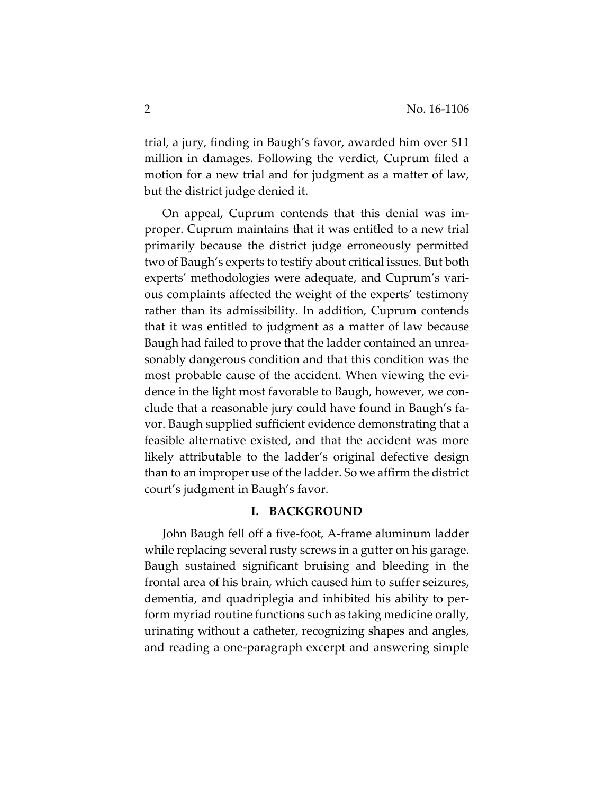trial, a jury, finding in Baugh's favor, awarded him over \$11 million in damages. Following the verdict, Cuprum filed a motion for a new trial and for judgment as a matter of law, but the district judge denied it.

On appeal, Cuprum contends that this denial was im‐ proper. Cuprum maintains that it was entitled to a new trial primarily because the district judge erroneously permitted two of Baugh's experts to testify about critical issues. But both experts' methodologies were adequate, and Cuprum's vari‐ ous complaints affected the weight of the experts' testimony rather than its admissibility. In addition, Cuprum contends that it was entitled to judgment as a matter of law because Baugh had failed to prove that the ladder contained an unrea‐ sonably dangerous condition and that this condition was the most probable cause of the accident. When viewing the evi‐ dence in the light most favorable to Baugh, however, we con‐ clude that a reasonable jury could have found in Baugh's fa‐ vor. Baugh supplied sufficient evidence demonstrating that a feasible alternative existed, and that the accident was more likely attributable to the ladder's original defective design than to an improper use of the ladder. So we affirm the district court's judgment in Baugh's favor.

#### **I. BACKGROUND**

John Baugh fell off a five‐foot, A‐frame aluminum ladder while replacing several rusty screws in a gutter on his garage. Baugh sustained significant bruising and bleeding in the frontal area of his brain, which caused him to suffer seizures, dementia, and quadriplegia and inhibited his ability to per‐ form myriad routine functions such as taking medicine orally, urinating without a catheter, recognizing shapes and angles, and reading a one‐paragraph excerpt and answering simple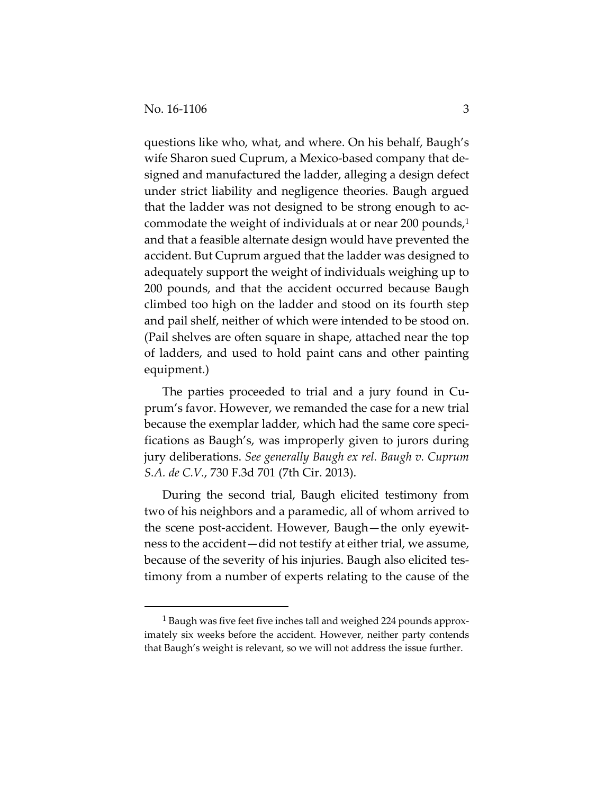questions like who, what, and where. On his behalf, Baugh's wife Sharon sued Cuprum, a Mexico-based company that designed and manufactured the ladder, alleging a design defect under strict liability and negligence theories. Baugh argued that the ladder was not designed to be strong enough to ac‐ commodate the weight of individuals at or near 200 pounds, $1$ and that a feasible alternate design would have prevented the accident. But Cuprum argued that the ladder was designed to adequately support the weight of individuals weighing up to 200 pounds, and that the accident occurred because Baugh climbed too high on the ladder and stood on its fourth step and pail shelf, neither of which were intended to be stood on. (Pail shelves are often square in shape, attached near the top of ladders, and used to hold paint cans and other painting equipment.)

The parties proceeded to trial and a jury found in Cu‐ prum's favor. However, we remanded the case for a new trial because the exemplar ladder, which had the same core specifications as Baugh's, was improperly given to jurors during jury deliberations. *See generally Baugh ex rel. Baugh v. Cuprum S.A. de C.V.*, 730 F.3d 701 (7th Cir. 2013).

During the second trial, Baugh elicited testimony from two of his neighbors and a paramedic, all of whom arrived to the scene post‐accident. However, Baugh—the only eyewit‐ ness to the accident—did not testify at either trial, we assume, because of the severity of his injuries. Baugh also elicited tes‐ timony from a number of experts relating to the cause of the

<sup>1</sup> Baugh was five feet five inches tall and weighed 224 pounds approx‐ imately six weeks before the accident. However, neither party contends that Baugh's weight is relevant, so we will not address the issue further.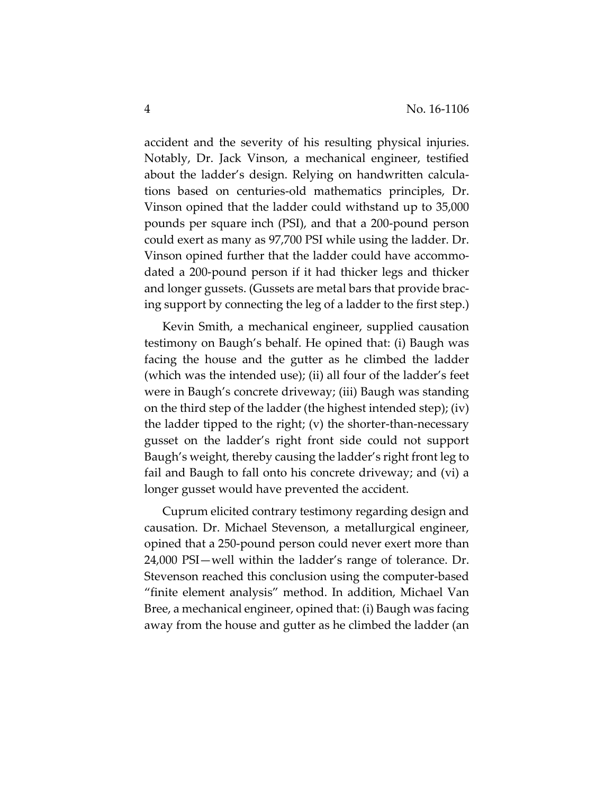accident and the severity of his resulting physical injuries. Notably, Dr. Jack Vinson, a mechanical engineer, testified about the ladder's design. Relying on handwritten calcula‐ tions based on centuries‐old mathematics principles, Dr. Vinson opined that the ladder could withstand up to 35,000 pounds per square inch (PSI), and that a 200‐pound person could exert as many as 97,700 PSI while using the ladder. Dr. Vinson opined further that the ladder could have accommo‐ dated a 200‐pound person if it had thicker legs and thicker and longer gussets. (Gussets are metal bars that provide brac‐ ing support by connecting the leg of a ladder to the first step.)

Kevin Smith, a mechanical engineer, supplied causation testimony on Baugh's behalf. He opined that: (i) Baugh was facing the house and the gutter as he climbed the ladder (which was the intended use); (ii) all four of the ladder's feet were in Baugh's concrete driveway; (iii) Baugh was standing on the third step of the ladder (the highest intended step); (iv) the ladder tipped to the right; (v) the shorter-than-necessary gusset on the ladder's right front side could not support Baugh's weight, thereby causing the ladder's right front leg to fail and Baugh to fall onto his concrete driveway; and (vi) a longer gusset would have prevented the accident.

Cuprum elicited contrary testimony regarding design and causation. Dr. Michael Stevenson, a metallurgical engineer, opined that a 250‐pound person could never exert more than 24,000 PSI—well within the ladder's range of tolerance. Dr. Stevenson reached this conclusion using the computer‐based "finite element analysis" method. In addition, Michael Van Bree, a mechanical engineer, opined that: (i) Baugh was facing away from the house and gutter as he climbed the ladder (an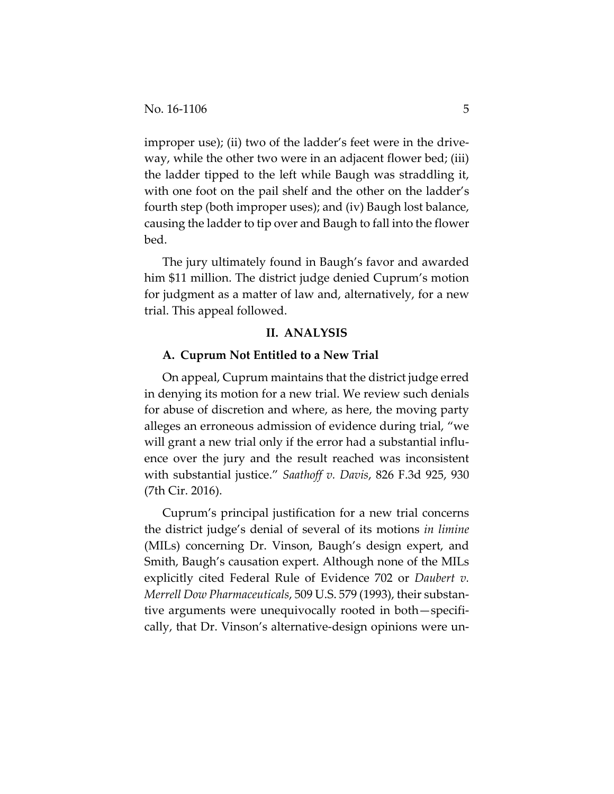improper use); (ii) two of the ladder's feet were in the driveway, while the other two were in an adjacent flower bed; (iii) the ladder tipped to the left while Baugh was straddling it, with one foot on the pail shelf and the other on the ladder's fourth step (both improper uses); and (iv) Baugh lost balance, causing the ladder to tip over and Baugh to fall into the flower bed.

The jury ultimately found in Baugh's favor and awarded him \$11 million. The district judge denied Cuprum's motion for judgment as a matter of law and, alternatively, for a new trial. This appeal followed.

# **II. ANALYSIS**

#### **A. Cuprum Not Entitled to a New Trial**

On appeal, Cuprum maintains that the district judge erred in denying its motion for a new trial. We review such denials for abuse of discretion and where, as here, the moving party alleges an erroneous admission of evidence during trial, "we will grant a new trial only if the error had a substantial influence over the jury and the result reached was inconsistent with substantial justice." *Saathoff v. Davis*, 826 F.3d 925, 930 (7th Cir. 2016).

Cuprum's principal justification for a new trial concerns the district judge's denial of several of its motions *in limine* (MILs) concerning Dr. Vinson, Baugh's design expert, and Smith, Baugh's causation expert. Although none of the MILs explicitly cited Federal Rule of Evidence 702 or *Daubert v. Merrell Dow Pharmaceuticals*, 509 U.S. 579 (1993), their substan‐ tive arguments were unequivocally rooted in both—specifi‐ cally, that Dr. Vinson's alternative‐design opinions were un‐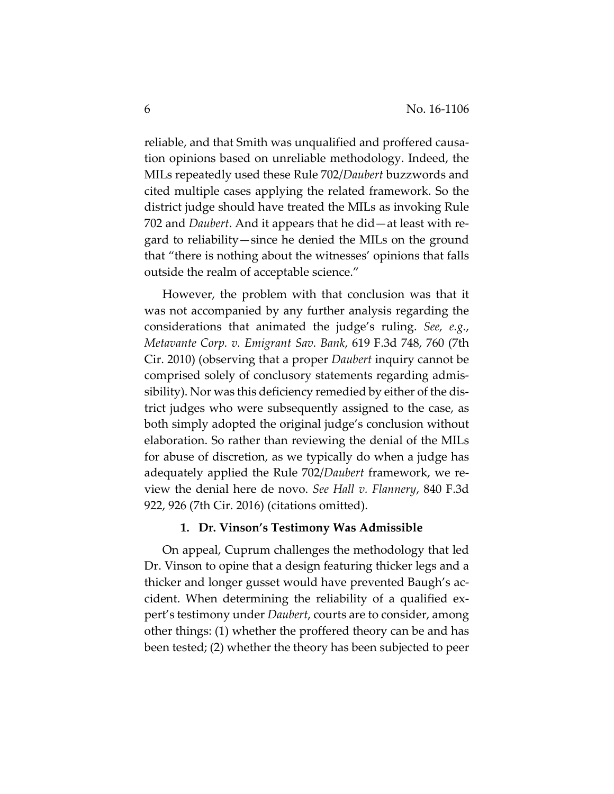reliable, and that Smith was unqualified and proffered causation opinions based on unreliable methodology. Indeed, the MILs repeatedly used these Rule 702/*Daubert* buzzwords and cited multiple cases applying the related framework. So the district judge should have treated the MILs as invoking Rule 702 and *Daubert*. And it appears that he did—at least with re‐ gard to reliability—since he denied the MILs on the ground that "there is nothing about the witnesses' opinions that falls outside the realm of acceptable science."

However, the problem with that conclusion was that it was not accompanied by any further analysis regarding the considerations that animated the judge's ruling. *See, e.g.*, *Metavante Corp. v. Emigrant Sav. Bank*, 619 F.3d 748, 760 (7th Cir. 2010) (observing that a proper *Daubert* inquiry cannot be comprised solely of conclusory statements regarding admis‐ sibility). Nor was this deficiency remedied by either of the dis‐ trict judges who were subsequently assigned to the case, as both simply adopted the original judge's conclusion without elaboration. So rather than reviewing the denial of the MILs for abuse of discretion, as we typically do when a judge has adequately applied the Rule 702/*Daubert* framework, we re‐ view the denial here de novo. *See Hall v. Flannery*, 840 F.3d 922, 926 (7th Cir. 2016) (citations omitted).

#### **1. Dr. Vinson's Testimony Was Admissible**

On appeal, Cuprum challenges the methodology that led Dr. Vinson to opine that a design featuring thicker legs and a thicker and longer gusset would have prevented Baugh's ac‐ cident. When determining the reliability of a qualified ex‐ pert's testimony under *Daubert*, courts are to consider, among other things: (1) whether the proffered theory can be and has been tested; (2) whether the theory has been subjected to peer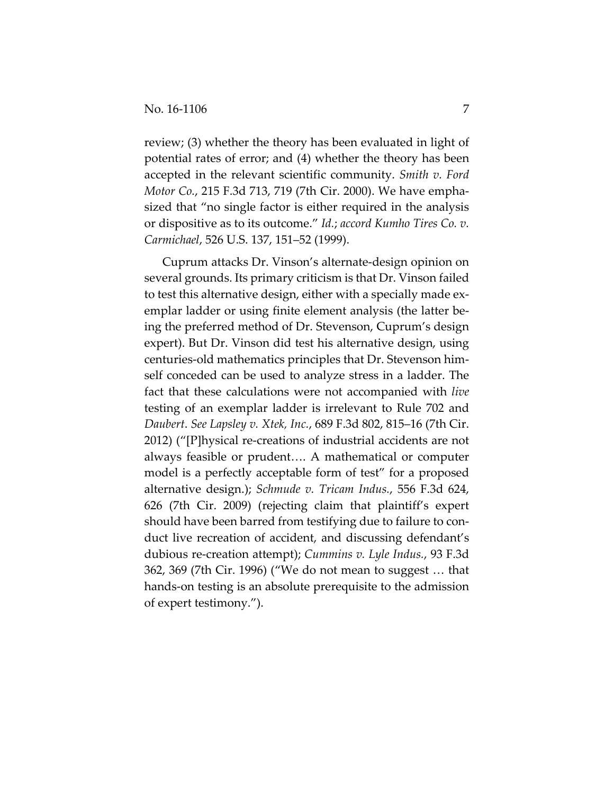review; (3) whether the theory has been evaluated in light of potential rates of error; and (4) whether the theory has been accepted in the relevant scientific community. *Smith v. Ford Motor Co.*, 215 F.3d 713, 719 (7th Cir. 2000). We have empha‐ sized that "no single factor is either required in the analysis or dispositive as to its outcome." *Id.*; *accord Kumho Tires Co. v. Carmichael*, 526 U.S. 137, 151–52 (1999).

Cuprum attacks Dr. Vinson's alternate‐design opinion on several grounds. Its primary criticism is that Dr. Vinson failed to test this alternative design, either with a specially made ex‐ emplar ladder or using finite element analysis (the latter being the preferred method of Dr. Stevenson, Cuprum's design expert). But Dr. Vinson did test his alternative design, using centuries‐old mathematics principles that Dr. Stevenson him‐ self conceded can be used to analyze stress in a ladder. The fact that these calculations were not accompanied with *live* testing of an exemplar ladder is irrelevant to Rule 702 and *Daubert*. *See Lapsley v. Xtek, Inc.*, 689 F.3d 802, 815–16 (7th Cir. 2012) ("[P]hysical re‐creations of industrial accidents are not always feasible or prudent…. A mathematical or computer model is a perfectly acceptable form of test" for a proposed alternative design.); *Schmude v. Tricam Indus.*, 556 F.3d 624, 626 (7th Cir. 2009) (rejecting claim that plaintiff's expert should have been barred from testifying due to failure to con‐ duct live recreation of accident, and discussing defendant's dubious re‐creation attempt); *Cummins v. Lyle Indus.*, 93 F.3d 362, 369 (7th Cir. 1996) ("We do not mean to suggest … that hands-on testing is an absolute prerequisite to the admission of expert testimony.").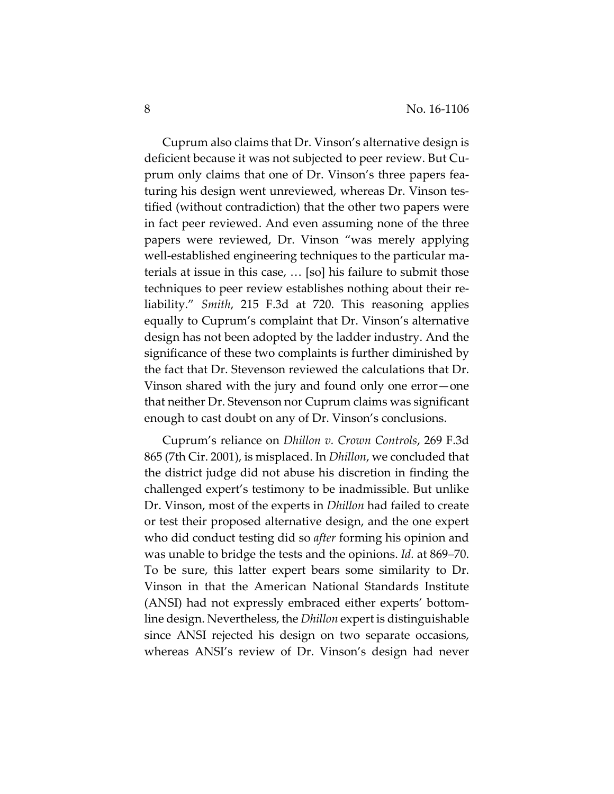Cuprum also claims that Dr. Vinson's alternative design is deficient because it was not subjected to peer review. But Cu‐ prum only claims that one of Dr. Vinson's three papers fea‐ turing his design went unreviewed, whereas Dr. Vinson tes‐ tified (without contradiction) that the other two papers were in fact peer reviewed. And even assuming none of the three papers were reviewed, Dr. Vinson "was merely applying well-established engineering techniques to the particular materials at issue in this case, … [so] his failure to submit those techniques to peer review establishes nothing about their re‐ liability." *Smith*, 215 F.3d at 720. This reasoning applies equally to Cuprum's complaint that Dr. Vinson's alternative design has not been adopted by the ladder industry. And the significance of these two complaints is further diminished by the fact that Dr. Stevenson reviewed the calculations that Dr. Vinson shared with the jury and found only one error—one that neither Dr. Stevenson nor Cuprum claims was significant enough to cast doubt on any of Dr. Vinson's conclusions.

Cuprum's reliance on *Dhillon v. Crown Controls*, 269 F.3d 865 (7th Cir. 2001), is misplaced. In *Dhillon*, we concluded that the district judge did not abuse his discretion in finding the challenged expert's testimony to be inadmissible. But unlike Dr. Vinson, most of the experts in *Dhillon* had failed to create or test their proposed alternative design, and the one expert who did conduct testing did so *after* forming his opinion and was unable to bridge the tests and the opinions. *Id.* at 869–70. To be sure, this latter expert bears some similarity to Dr. Vinson in that the American National Standards Institute (ANSI) had not expressly embraced either experts' bottom‐ line design. Nevertheless, the *Dhillon* expert is distinguishable since ANSI rejected his design on two separate occasions, whereas ANSI's review of Dr. Vinson's design had never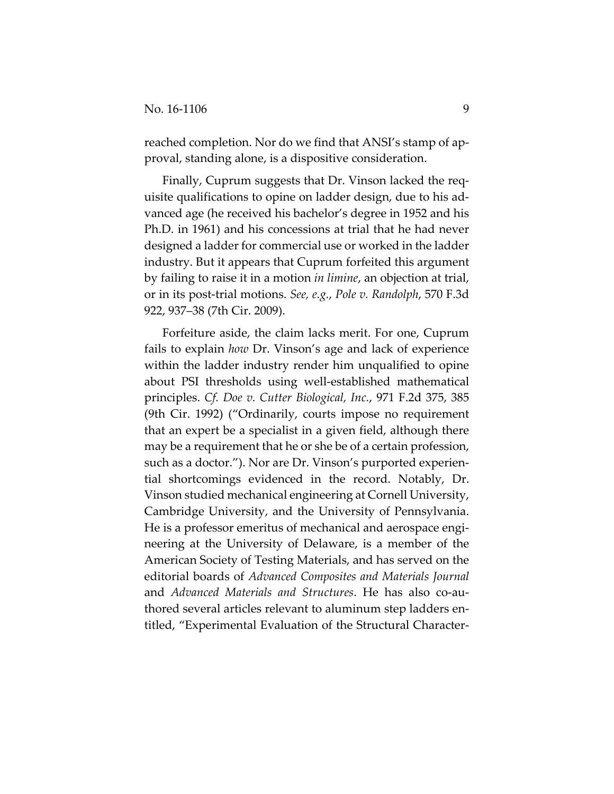reached completion. Nor do we find that ANSI's stamp of approval, standing alone, is a dispositive consideration.

Finally, Cuprum suggests that Dr. Vinson lacked the req‐ uisite qualifications to opine on ladder design, due to his ad‐ vanced age (he received his bachelor's degree in 1952 and his Ph.D. in 1961) and his concessions at trial that he had never designed a ladder for commercial use or worked in the ladder industry. But it appears that Cuprum forfeited this argument by failing to raise it in a motion *in limine*, an objection at trial, or in its post‐trial motions. *See, e.g.*, *Pole v. Randolph*, 570 F.3d 922, 937–38 (7th Cir. 2009).

Forfeiture aside, the claim lacks merit. For one, Cuprum fails to explain *how* Dr. Vinson's age and lack of experience within the ladder industry render him unqualified to opine about PSI thresholds using well‐established mathematical principles. *Cf. Doe v. Cutter Biological, Inc.*, 971 F.2d 375, 385 (9th Cir. 1992) ("Ordinarily, courts impose no requirement that an expert be a specialist in a given field, although there may be a requirement that he or she be of a certain profession, such as a doctor."). Nor are Dr. Vinson's purported experien‐ tial shortcomings evidenced in the record. Notably, Dr. Vinson studied mechanical engineering at Cornell University, Cambridge University, and the University of Pennsylvania. He is a professor emeritus of mechanical and aerospace engineering at the University of Delaware, is a member of the American Society of Testing Materials, and has served on the editorial boards of *Advanced Composites and Materials Journal* and *Advanced Materials and Structures*. He has also co‐au‐ thored several articles relevant to aluminum step ladders en‐ titled, "Experimental Evaluation of the Structural Character‐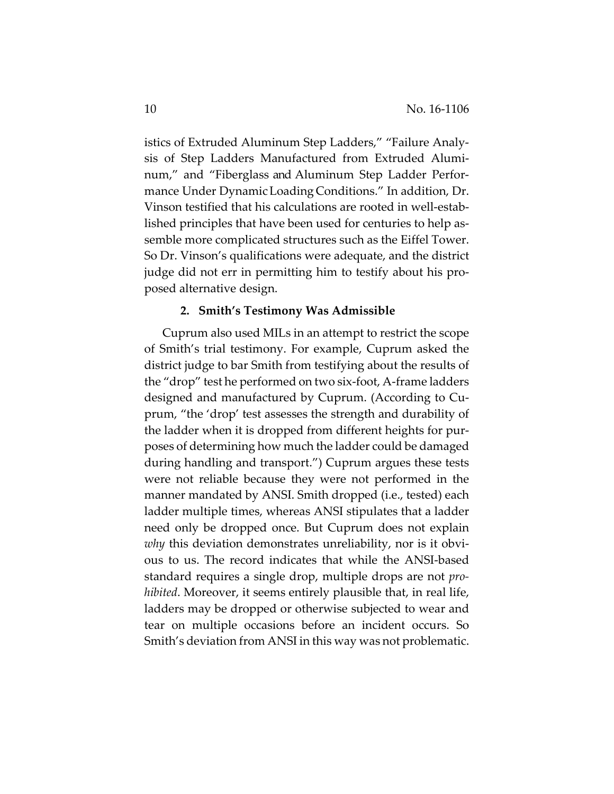istics of Extruded Aluminum Step Ladders," "Failure Analy‐ sis of Step Ladders Manufactured from Extruded Alumi‐ num," and "Fiberglass and Aluminum Step Ladder Perfor‐ mance Under DynamicLoading Conditions." In addition, Dr. Vinson testified that his calculations are rooted in well‐estab‐ lished principles that have been used for centuries to help as‐ semble more complicated structures such as the Eiffel Tower. So Dr. Vinson's qualifications were adequate, and the district judge did not err in permitting him to testify about his pro‐ posed alternative design.

# **2. Smith's Testimony Was Admissible**

Cuprum also used MILs in an attempt to restrict the scope of Smith's trial testimony. For example, Cuprum asked the district judge to bar Smith from testifying about the results of the "drop" test he performed on two six‐foot, A‐frame ladders designed and manufactured by Cuprum. (According to Cu‐ prum, "the 'drop' test assesses the strength and durability of the ladder when it is dropped from different heights for pur‐ poses of determining how much the ladder could be damaged during handling and transport.") Cuprum argues these tests were not reliable because they were not performed in the manner mandated by ANSI. Smith dropped (i.e., tested) each ladder multiple times, whereas ANSI stipulates that a ladder need only be dropped once. But Cuprum does not explain *why* this deviation demonstrates unreliability, nor is it obvious to us. The record indicates that while the ANSI‐based standard requires a single drop, multiple drops are not *pro‐ hibited*. Moreover, it seems entirely plausible that, in real life, ladders may be dropped or otherwise subjected to wear and tear on multiple occasions before an incident occurs. So Smith's deviation from ANSI in this way was not problematic.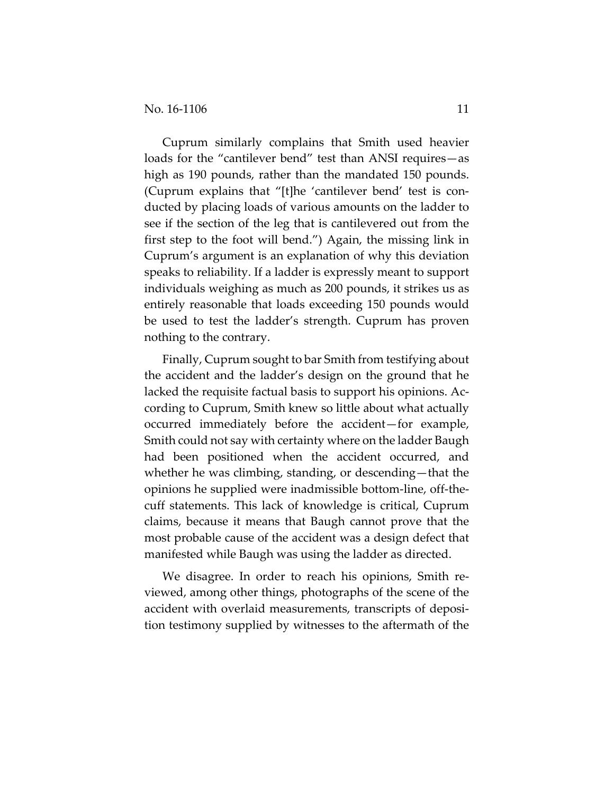Cuprum similarly complains that Smith used heavier loads for the "cantilever bend" test than ANSI requires—as high as 190 pounds, rather than the mandated 150 pounds. (Cuprum explains that "[t]he 'cantilever bend' test is con‐ ducted by placing loads of various amounts on the ladder to see if the section of the leg that is cantilevered out from the first step to the foot will bend.") Again, the missing link in Cuprum's argument is an explanation of why this deviation speaks to reliability. If a ladder is expressly meant to support individuals weighing as much as 200 pounds, it strikes us as entirely reasonable that loads exceeding 150 pounds would be used to test the ladder's strength. Cuprum has proven nothing to the contrary.

Finally, Cuprum sought to bar Smith from testifying about the accident and the ladder's design on the ground that he lacked the requisite factual basis to support his opinions. Ac‐ cording to Cuprum, Smith knew so little about what actually occurred immediately before the accident—for example, Smith could not say with certainty where on the ladder Baugh had been positioned when the accident occurred, and whether he was climbing, standing, or descending—that the opinions he supplied were inadmissible bottom‐line, off‐the‐ cuff statements. This lack of knowledge is critical, Cuprum claims, because it means that Baugh cannot prove that the most probable cause of the accident was a design defect that manifested while Baugh was using the ladder as directed.

We disagree. In order to reach his opinions, Smith re‐ viewed, among other things, photographs of the scene of the accident with overlaid measurements, transcripts of deposi‐ tion testimony supplied by witnesses to the aftermath of the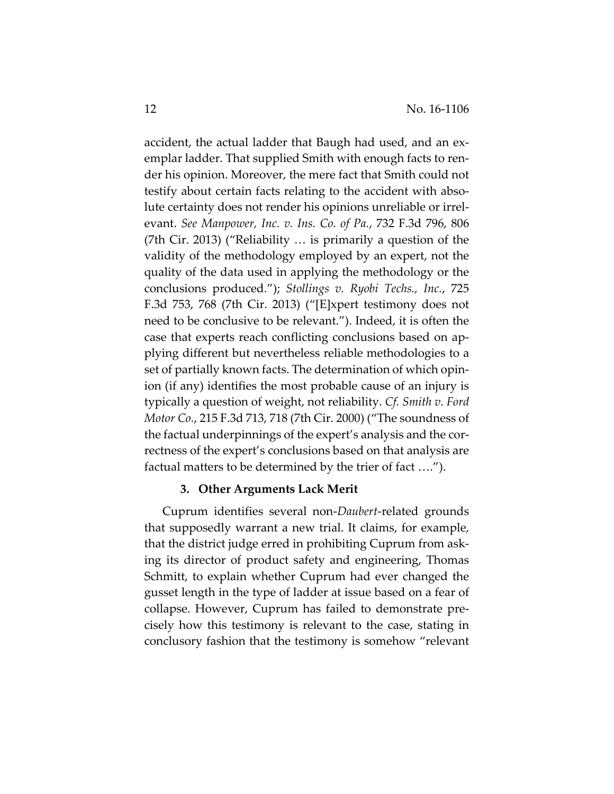accident, the actual ladder that Baugh had used, and an ex‐ emplar ladder. That supplied Smith with enough facts to ren‐ der his opinion. Moreover, the mere fact that Smith could not testify about certain facts relating to the accident with abso‐ lute certainty does not render his opinions unreliable or irrel‐ evant. *See Manpower, Inc. v. Ins. Co. of Pa.*, 732 F.3d 796, 806 (7th Cir. 2013) ("Reliability … is primarily a question of the validity of the methodology employed by an expert, not the quality of the data used in applying the methodology or the conclusions produced."); *Stollings v. Ryobi Techs., Inc.*, 725 F.3d 753, 768 (7th Cir. 2013) ("[E]xpert testimony does not need to be conclusive to be relevant."). Indeed, it is often the case that experts reach conflicting conclusions based on ap‐ plying different but nevertheless reliable methodologies to a set of partially known facts. The determination of which opin‐ ion (if any) identifies the most probable cause of an injury is typically a question of weight, not reliability. *Cf. Smith v. Ford Motor Co.*, 215 F.3d 713, 718 (7th Cir. 2000) ("The soundness of the factual underpinnings of the expert's analysis and the cor‐ rectness of the expert's conclusions based on that analysis are factual matters to be determined by the trier of fact ….").

#### **3. Other Arguments Lack Merit**

Cuprum identifies several non‐*Daubert*‐related grounds that supposedly warrant a new trial. It claims, for example, that the district judge erred in prohibiting Cuprum from ask‐ ing its director of product safety and engineering, Thomas Schmitt, to explain whether Cuprum had ever changed the gusset length in the type of ladder at issue based on a fear of collapse. However, Cuprum has failed to demonstrate pre‐ cisely how this testimony is relevant to the case, stating in conclusory fashion that the testimony is somehow "relevant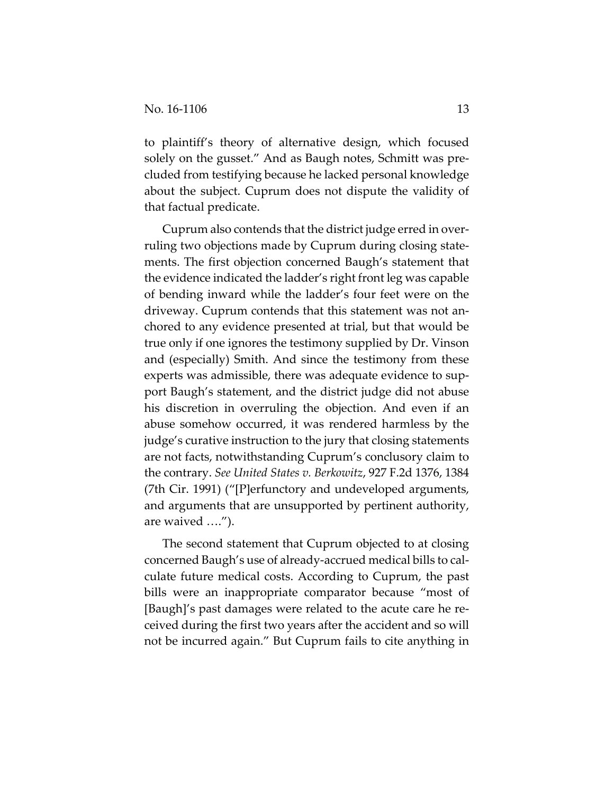to plaintiff's theory of alternative design, which focused solely on the gusset." And as Baugh notes, Schmitt was precluded from testifying because he lacked personal knowledge about the subject. Cuprum does not dispute the validity of that factual predicate.

Cuprum also contends that the district judge erred in over‐ ruling two objections made by Cuprum during closing state‐ ments. The first objection concerned Baugh's statement that the evidence indicated the ladder's right front leg was capable of bending inward while the ladder's four feet were on the driveway. Cuprum contends that this statement was not an‐ chored to any evidence presented at trial, but that would be true only if one ignores the testimony supplied by Dr. Vinson and (especially) Smith. And since the testimony from these experts was admissible, there was adequate evidence to sup‐ port Baugh's statement, and the district judge did not abuse his discretion in overruling the objection. And even if an abuse somehow occurred, it was rendered harmless by the judge's curative instruction to the jury that closing statements are not facts, notwithstanding Cuprum's conclusory claim to the contrary. *See United States v. Berkowitz*, 927 F.2d 1376, 1384 (7th Cir. 1991) ("[P]erfunctory and undeveloped arguments, and arguments that are unsupported by pertinent authority, are waived ….").

The second statement that Cuprum objected to at closing concerned Baugh's use of already‐accrued medical bills to cal‐ culate future medical costs. According to Cuprum, the past bills were an inappropriate comparator because "most of [Baugh]'s past damages were related to the acute care he re‐ ceived during the first two years after the accident and so will not be incurred again." But Cuprum fails to cite anything in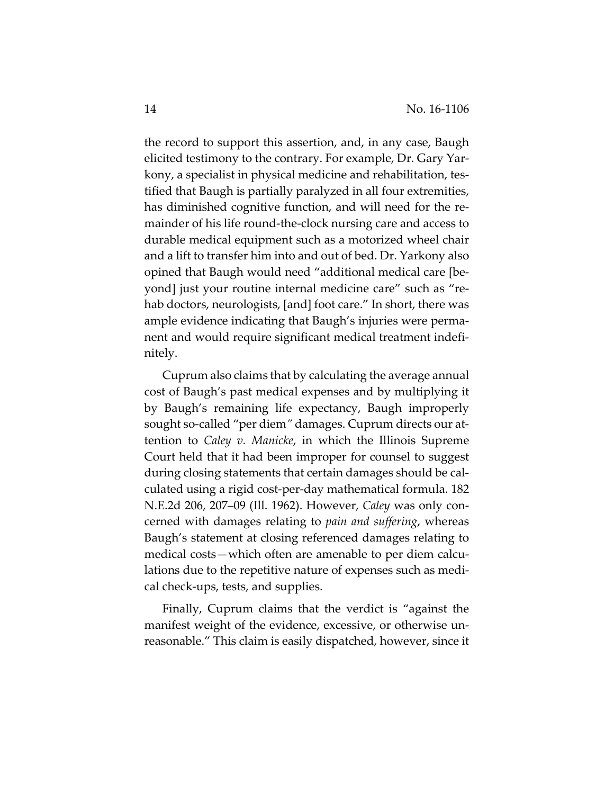the record to support this assertion, and, in any case, Baugh elicited testimony to the contrary. For example, Dr. Gary Yar‐ kony, a specialist in physical medicine and rehabilitation, tes‐ tified that Baugh is partially paralyzed in all four extremities, has diminished cognitive function, and will need for the remainder of his life round‐the‐clock nursing care and access to durable medical equipment such as a motorized wheel chair and a lift to transfer him into and out of bed. Dr. Yarkony also opined that Baugh would need "additional medical care [be‐ yond] just your routine internal medicine care" such as "re‐ hab doctors, neurologists, [and] foot care." In short, there was ample evidence indicating that Baugh's injuries were perma‐ nent and would require significant medical treatment indefi‐ nitely.

Cuprum also claims that by calculating the average annual cost of Baugh's past medical expenses and by multiplying it by Baugh's remaining life expectancy, Baugh improperly sought so-called "per diem" damages. Cuprum directs our attention to *Caley v. Manicke*, in which the Illinois Supreme Court held that it had been improper for counsel to suggest during closing statements that certain damages should be cal‐ culated using a rigid cost‐per‐day mathematical formula. 182 N.E.2d 206, 207–09 (Ill. 1962). However, *Caley* was only con‐ cerned with damages relating to *pain and suffering*, whereas Baugh's statement at closing referenced damages relating to medical costs—which often are amenable to per diem calculations due to the repetitive nature of expenses such as medi‐ cal check‐ups, tests, and supplies.

Finally, Cuprum claims that the verdict is "against the manifest weight of the evidence, excessive, or otherwise unreasonable." This claim is easily dispatched, however, since it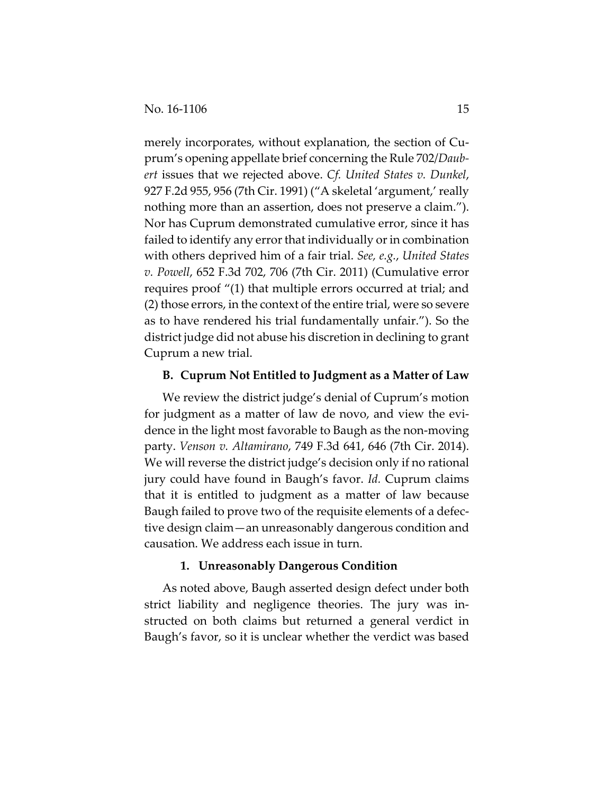merely incorporates, without explanation, the section of Cuprum's opening appellate brief concerning the Rule 702/*Daub‐ ert* issues that we rejected above. *Cf. United States v. Dunkel*, 927 F.2d 955, 956 (7th Cir. 1991) ("A skeletal 'argument,' really nothing more than an assertion, does not preserve a claim."). Nor has Cuprum demonstrated cumulative error, since it has failed to identify any error that individually or in combination with others deprived him of a fair trial. *See, e.g.*, *United States v. Powell*, 652 F.3d 702, 706 (7th Cir. 2011) (Cumulative error requires proof "(1) that multiple errors occurred at trial; and (2) those errors, in the context of the entire trial, were so severe as to have rendered his trial fundamentally unfair."). So the district judge did not abuse his discretion in declining to grant Cuprum a new trial.

# **B. Cuprum Not Entitled to Judgment as a Matter of Law**

We review the district judge's denial of Cuprum's motion for judgment as a matter of law de novo, and view the evidence in the light most favorable to Baugh as the non‐moving party. *Venson v. Altamirano*, 749 F.3d 641, 646 (7th Cir. 2014). We will reverse the district judge's decision only if no rational jury could have found in Baugh's favor. *Id.* Cuprum claims that it is entitled to judgment as a matter of law because Baugh failed to prove two of the requisite elements of a defec‐ tive design claim—an unreasonably dangerous condition and causation. We address each issue in turn.

#### **1. Unreasonably Dangerous Condition**

As noted above, Baugh asserted design defect under both strict liability and negligence theories. The jury was in‐ structed on both claims but returned a general verdict in Baugh's favor, so it is unclear whether the verdict was based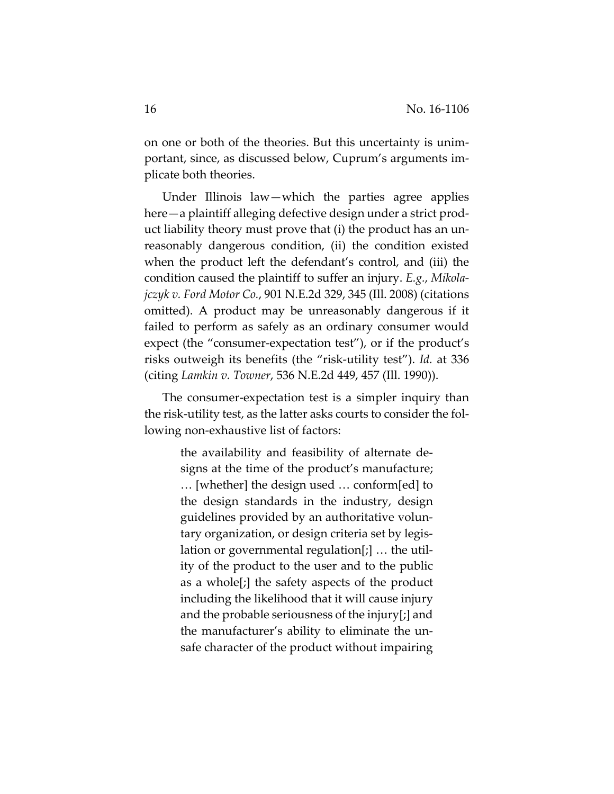on one or both of the theories. But this uncertainty is unim‐ portant, since, as discussed below, Cuprum's arguments im‐ plicate both theories.

Under Illinois law—which the parties agree applies here—a plaintiff alleging defective design under a strict product liability theory must prove that (i) the product has an un‐ reasonably dangerous condition, (ii) the condition existed when the product left the defendant's control, and (iii) the condition caused the plaintiff to suffer an injury. *E.g.*, *Mikola‐ jczyk v. Ford Motor Co.*, 901 N.E.2d 329, 345 (Ill. 2008) (citations omitted). A product may be unreasonably dangerous if it failed to perform as safely as an ordinary consumer would expect (the "consumer‐expectation test"), or if the product's risks outweigh its benefits (the "risk‐utility test"). *Id.* at 336 (citing *Lamkin v. Towner*, 536 N.E.2d 449, 457 (Ill. 1990)).

The consumer‐expectation test is a simpler inquiry than the risk‐utility test, as the latter asks courts to consider the fol‐ lowing non‐exhaustive list of factors:

> the availability and feasibility of alternate de‐ signs at the time of the product's manufacture; … [whether] the design used … conform[ed] to the design standards in the industry, design guidelines provided by an authoritative volun‐ tary organization, or design criteria set by legis‐ lation or governmental regulation[;] … the util‐ ity of the product to the user and to the public as a whole[;] the safety aspects of the product including the likelihood that it will cause injury and the probable seriousness of the injury[;] and the manufacturer's ability to eliminate the un‐ safe character of the product without impairing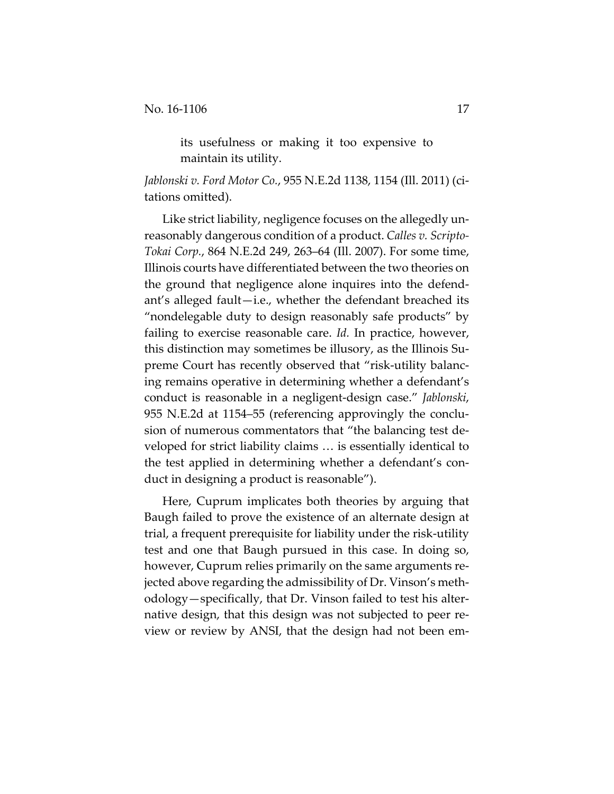its usefulness or making it too expensive to maintain its utility.

*Jablonski v. Ford Motor Co.*, 955 N.E.2d 1138, 1154 (Ill. 2011) (ci‐ tations omitted).

Like strict liability, negligence focuses on the allegedly un‐ reasonably dangerous condition of a product. *Calles v. Scripto‐ Tokai Corp.*, 864 N.E.2d 249, 263–64 (Ill. 2007). For some time, Illinois courts have differentiated between the two theories on the ground that negligence alone inquires into the defend‐ ant's alleged fault—i.e., whether the defendant breached its "nondelegable duty to design reasonably safe products" by failing to exercise reasonable care. *Id.* In practice, however, this distinction may sometimes be illusory, as the Illinois Su‐ preme Court has recently observed that "risk‐utility balanc‐ ing remains operative in determining whether a defendant's conduct is reasonable in a negligent‐design case." *Jablonski*, 955 N.E.2d at 1154–55 (referencing approvingly the conclu‐ sion of numerous commentators that "the balancing test de‐ veloped for strict liability claims … is essentially identical to the test applied in determining whether a defendant's con‐ duct in designing a product is reasonable").

Here, Cuprum implicates both theories by arguing that Baugh failed to prove the existence of an alternate design at trial, a frequent prerequisite for liability under the risk‐utility test and one that Baugh pursued in this case. In doing so, however, Cuprum relies primarily on the same arguments re‐ jected above regarding the admissibility of Dr. Vinson's meth‐ odology—specifically, that Dr. Vinson failed to test his alter‐ native design, that this design was not subjected to peer review or review by ANSI, that the design had not been em‐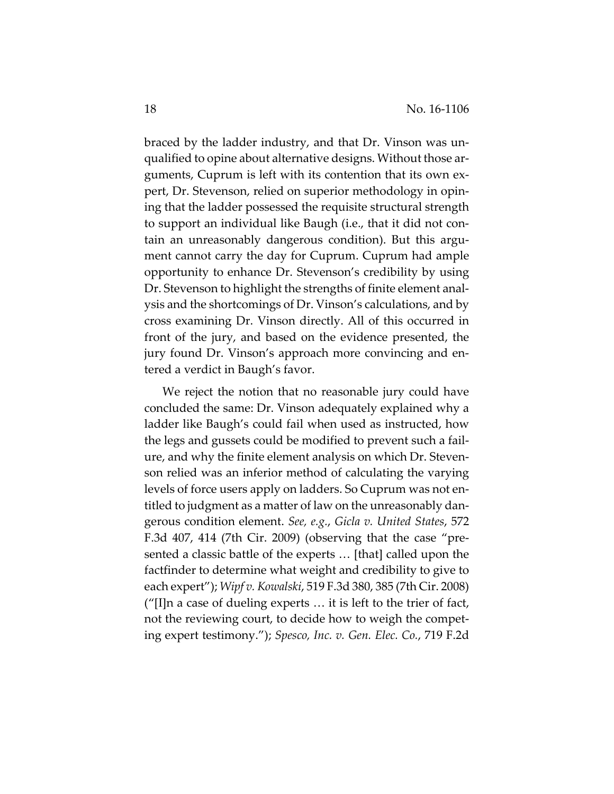braced by the ladder industry, and that Dr. Vinson was un‐ qualified to opine about alternative designs. Without those ar‐ guments, Cuprum is left with its contention that its own ex‐ pert, Dr. Stevenson, relied on superior methodology in opin‐ ing that the ladder possessed the requisite structural strength to support an individual like Baugh (i.e., that it did not con‐ tain an unreasonably dangerous condition). But this argument cannot carry the day for Cuprum. Cuprum had ample opportunity to enhance Dr. Stevenson's credibility by using Dr. Stevenson to highlight the strengths of finite element anal‐ ysis and the shortcomings of Dr. Vinson's calculations, and by cross examining Dr. Vinson directly. All of this occurred in front of the jury, and based on the evidence presented, the jury found Dr. Vinson's approach more convincing and en‐ tered a verdict in Baugh's favor.

We reject the notion that no reasonable jury could have concluded the same: Dr. Vinson adequately explained why a ladder like Baugh's could fail when used as instructed, how the legs and gussets could be modified to prevent such a fail‐ ure, and why the finite element analysis on which Dr. Steven‐ son relied was an inferior method of calculating the varying levels of force users apply on ladders. So Cuprum was not en‐ titled to judgment as a matter of law on the unreasonably dan‐ gerous condition element. *See, e.g.*, *Gicla v. United States*, 572 F.3d 407, 414 (7th Cir. 2009) (observing that the case "pre‐ sented a classic battle of the experts … [that] called upon the factfinder to determine what weight and credibility to give to each expert"); *Wipf v. Kowalski*, 519 F.3d 380, 385 (7th Cir. 2008) ("[I]n a case of dueling experts … it is left to the trier of fact, not the reviewing court, to decide how to weigh the compet‐ ing expert testimony."); *Spesco, Inc. v. Gen. Elec. Co.*, 719 F.2d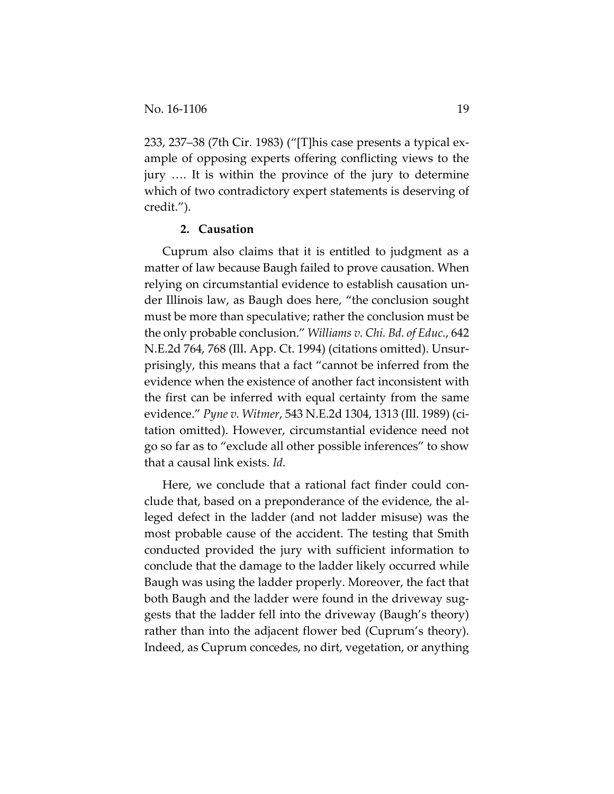233, 237–38 (7th Cir. 1983) ("[T]his case presents a typical ex‐ ample of opposing experts offering conflicting views to the jury …. It is within the province of the jury to determine which of two contradictory expert statements is deserving of credit.").

# **2. Causation**

Cuprum also claims that it is entitled to judgment as a matter of law because Baugh failed to prove causation. When relying on circumstantial evidence to establish causation un‐ der Illinois law, as Baugh does here, "the conclusion sought must be more than speculative; rather the conclusion must be the only probable conclusion." *Williams v. Chi. Bd. of Educ.*, 642 N.E.2d 764, 768 (Ill. App. Ct. 1994) (citations omitted). Unsur‐ prisingly, this means that a fact "cannot be inferred from the evidence when the existence of another fact inconsistent with the first can be inferred with equal certainty from the same evidence." *Pyne v. Witmer*, 543 N.E.2d 1304, 1313 (Ill. 1989) (ci‐ tation omitted). However, circumstantial evidence need not go so far as to "exclude all other possible inferences" to show that a causal link exists. *Id.*

Here, we conclude that a rational fact finder could conclude that, based on a preponderance of the evidence, the al‐ leged defect in the ladder (and not ladder misuse) was the most probable cause of the accident. The testing that Smith conducted provided the jury with sufficient information to conclude that the damage to the ladder likely occurred while Baugh was using the ladder properly. Moreover, the fact that both Baugh and the ladder were found in the driveway suggests that the ladder fell into the driveway (Baugh's theory) rather than into the adjacent flower bed (Cuprum's theory). Indeed, as Cuprum concedes, no dirt, vegetation, or anything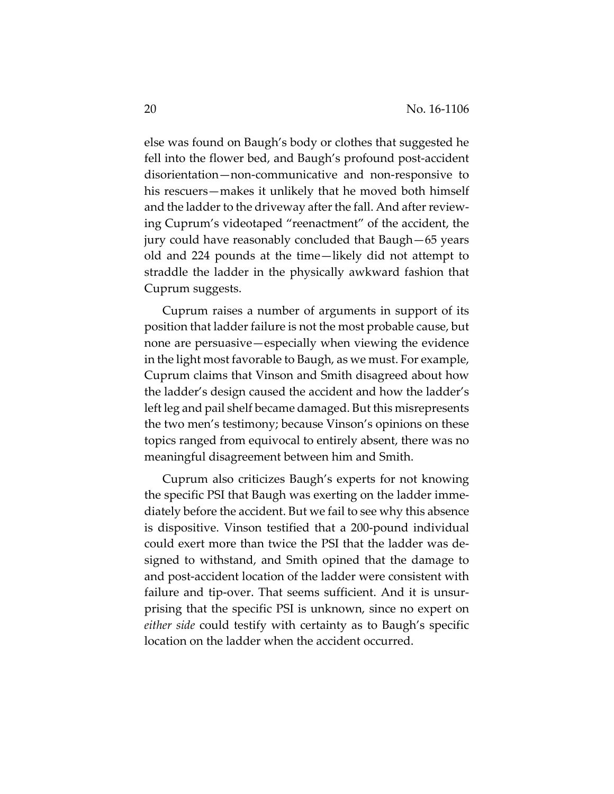else was found on Baugh's body or clothes that suggested he fell into the flower bed, and Baugh's profound post-accident disorientation—non‐communicative and non‐responsive to his rescuers—makes it unlikely that he moved both himself and the ladder to the driveway after the fall. And after reviewing Cuprum's videotaped "reenactment" of the accident, the jury could have reasonably concluded that Baugh—65 years old and 224 pounds at the time—likely did not attempt to straddle the ladder in the physically awkward fashion that Cuprum suggests.

Cuprum raises a number of arguments in support of its position that ladder failure is not the most probable cause, but none are persuasive—especially when viewing the evidence in the light most favorable to Baugh, as we must. For example, Cuprum claims that Vinson and Smith disagreed about how the ladder's design caused the accident and how the ladder's left leg and pail shelf became damaged. But this misrepresents the two men's testimony; because Vinson's opinions on these topics ranged from equivocal to entirely absent, there was no meaningful disagreement between him and Smith.

Cuprum also criticizes Baugh's experts for not knowing the specific PSI that Baugh was exerting on the ladder imme‐ diately before the accident. But we fail to see why this absence is dispositive. Vinson testified that a 200‐pound individual could exert more than twice the PSI that the ladder was de‐ signed to withstand, and Smith opined that the damage to and post‐accident location of the ladder were consistent with failure and tip-over. That seems sufficient. And it is unsurprising that the specific PSI is unknown, since no expert on *either side* could testify with certainty as to Baugh's specific location on the ladder when the accident occurred.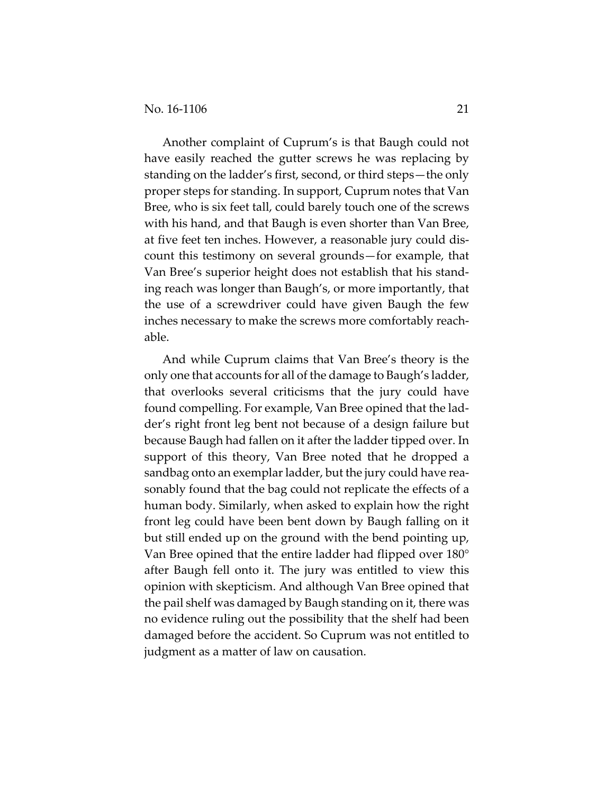Another complaint of Cuprum's is that Baugh could not have easily reached the gutter screws he was replacing by standing on the ladder's first, second, or third steps—the only proper steps for standing. In support, Cuprum notes that Van Bree, who is six feet tall, could barely touch one of the screws with his hand, and that Baugh is even shorter than Van Bree, at five feet ten inches. However, a reasonable jury could dis‐ count this testimony on several grounds—for example, that Van Bree's superior height does not establish that his stand‐ ing reach was longer than Baugh's, or more importantly, that the use of a screwdriver could have given Baugh the few inches necessary to make the screws more comfortably reach‐ able.

And while Cuprum claims that Van Bree's theory is the only one that accounts for all of the damage to Baugh's ladder, that overlooks several criticisms that the jury could have found compelling. For example, Van Bree opined that the lad‐ der's right front leg bent not because of a design failure but because Baugh had fallen on it after the ladder tipped over. In support of this theory, Van Bree noted that he dropped a sandbag onto an exemplar ladder, but the jury could have reasonably found that the bag could not replicate the effects of a human body. Similarly, when asked to explain how the right front leg could have been bent down by Baugh falling on it but still ended up on the ground with the bend pointing up, Van Bree opined that the entire ladder had flipped over 180° after Baugh fell onto it. The jury was entitled to view this opinion with skepticism. And although Van Bree opined that the pail shelf was damaged by Baugh standing on it, there was no evidence ruling out the possibility that the shelf had been damaged before the accident. So Cuprum was not entitled to judgment as a matter of law on causation.